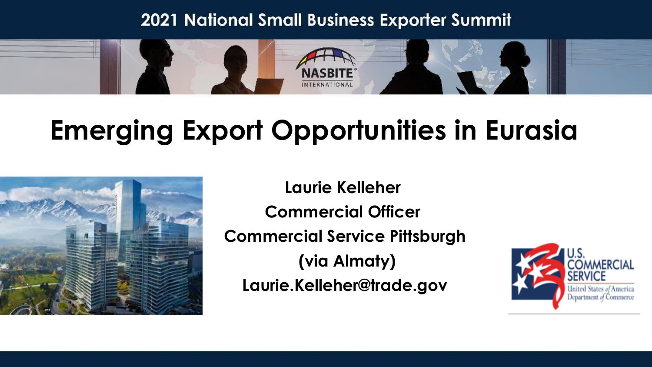#### **2021 National Small Business Exporter Summit**



### **Emerging Export Opportunities in Eurasia**



**Laurie Kelleher Commercial Officer Commercial Service Pittsburgh (via Almaty) Laurie.Kelleher@trade.gov**

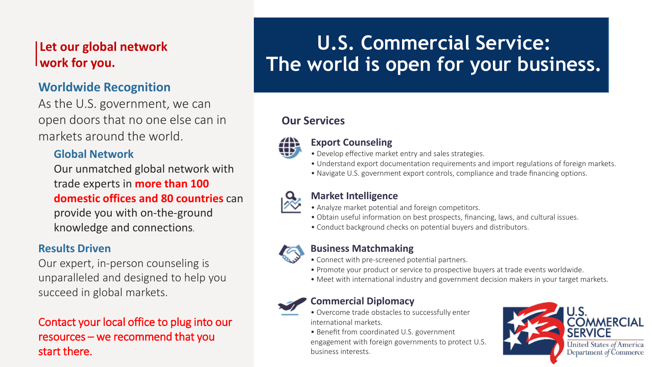#### **Let our global network work for you.**

#### **Worldwide Recognition**

As the U.S. government, we can open doors that no one else can in markets around the world.

#### **Global Network**

Our unmatched global network with trade experts in **more than 100 domestic offices and 80 countries** can provide you with on-the-ground knowledge and connections.

#### **Results Driven**

Our expert, in-person counseling is unparalleled and designed to help you succeed in global markets.

Contact your local office to plug into our resources – we recommend that you start there.

#### **U.S. Commercial Service: The world is open for your business.**

#### **Our Services**



#### **Export Counseling**

- Develop effective market entry and sales strategies.
- Understand export documentation requirements and import regulations of foreign markets.
- Navigate U.S. government export controls, compliance and trade financing options.



#### **Market Intelligence**

- Analyze market potential and foreign competitors.
- Obtain useful information on best prospects, financing, laws, and cultural issues.
- Conduct background checks on potential buyers and distributors.



#### **Business Matchmaking**

- Connect with pre-screened potential partners.
- Promote your product or service to prospective buyers at trade events worldwide.
- Meet with international industry and government decision makers in your target markets.

#### **Commercial Diplomacy**

- Overcome trade obstacles to successfully enter international markets.
- Benefit from coordinated U.S. government

engagement with foreign governments to protect U.S. business interests.

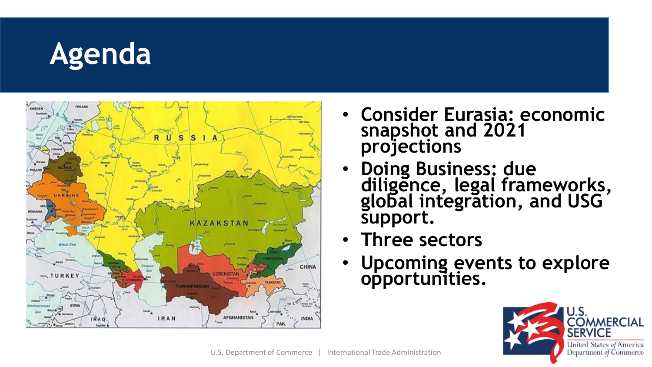# **Agenda**



- **Consider Eurasia: economic snapshot and 2021 projections**
- **Doing Business: due diligence, legal frameworks, global integration, and USG support.**
- **Three sectors**
- **Upcoming events to explore opportunities.**

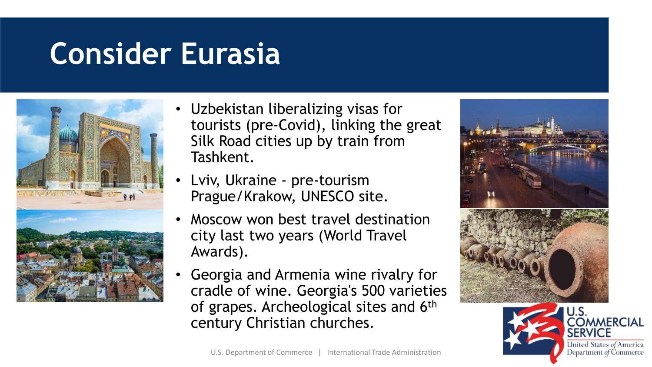### **Consider Eurasia**



- Uzbekistan liberalizing visas for tourists (pre-Covid), linking the great Silk Road cities up by train from Tashkent.
- Lviv, Ukraine pre-tourism Prague/Krakow, UNESCO site.
- Moscow won best travel destination city last two years (World Travel Awards).
- Georgia and Armenia wine rivalry for cradle of wine. Georgia's 500 varieties of grapes. Archeological sites and 6th century Christian churches.





United States of America Department of Commerce

**MMERCIAL**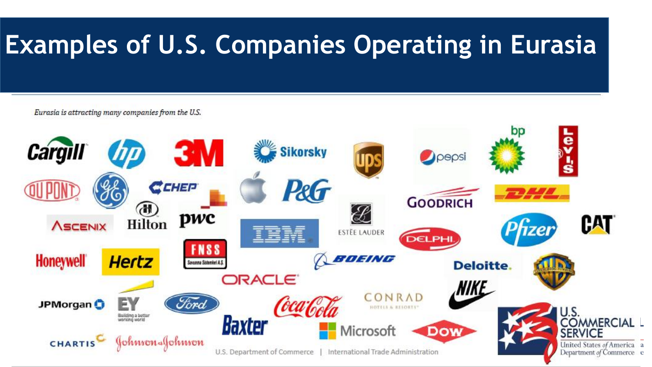### **Examples of U.S. Companies Operating in Eurasia**

#### Eurasia is attracting many companies from the U.S.

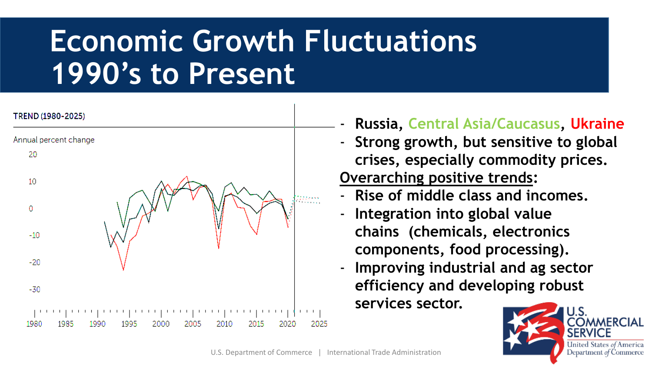## **Economic Growth Fluctuations 1990's to Present**



- **Russia, Central Asia/Caucasus, Ukraine**
- **Strong growth, but sensitive to global crises, especially commodity prices. Overarching positive trends:**
- **Rise of middle class and incomes.**
- **Integration into global value chains (chemicals, electronics components, food processing).**
- **Improving industrial and ag sector efficiency and developing robust services sector.**

![](_page_5_Picture_7.jpeg)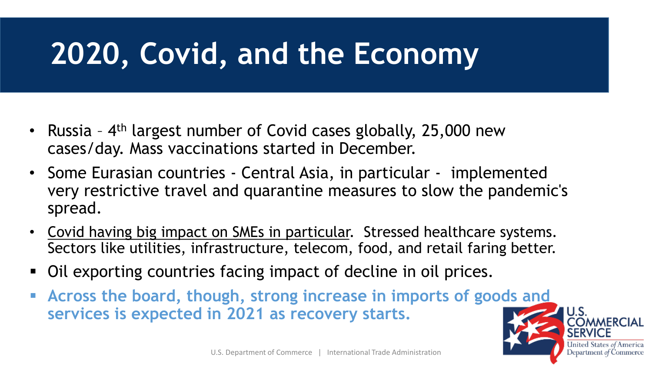## **2020, Covid, and the Economy**

- Russia 4<sup>th</sup> largest number of Covid cases globally, 25,000 new cases/day. Mass vaccinations started in December.
- Some Eurasian countries Central Asia, in particular implemented very restrictive travel and quarantine measures to slow the pandemic's spread.
- Covid having big impact on SMEs in particular. Stressed healthcare systems. Sectors like utilities, infrastructure, telecom, food, and retail faring better.
- Oil exporting countries facing impact of decline in oil prices.
- **Example 2 Figure 1 Across the board, though, strong increase in imports of goods and services is expected in 2021 as recovery starts.**

![](_page_6_Picture_6.jpeg)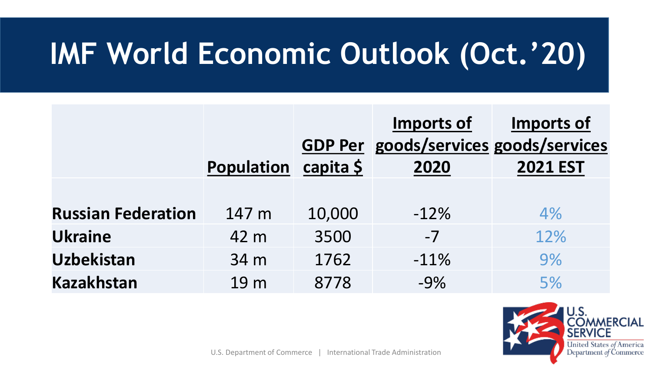# **IMF World Economic Outlook (Oct.'20)**

|                           | <b>Population</b> | <b>GDP Per</b><br>capita \$ | Imports of<br>goods/services goods/services<br>2020 | <b>Imports of</b><br><b>2021 EST</b> |
|---------------------------|-------------------|-----------------------------|-----------------------------------------------------|--------------------------------------|
|                           |                   |                             |                                                     |                                      |
| <b>Russian Federation</b> | 147 m             | 10,000                      | $-12%$                                              | 4%                                   |
| <b>Ukraine</b>            | 42 m              | 3500                        | $-7$                                                | 12%                                  |
| <b>Uzbekistan</b>         | 34 m              | 1762                        | $-11%$                                              | 9%                                   |
| <b>Kazakhstan</b>         | 19 <sub>m</sub>   | 8778                        | $-9%$                                               | 5%                                   |

![](_page_7_Picture_2.jpeg)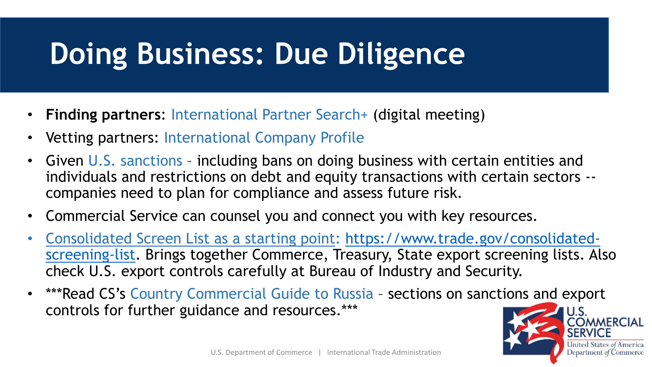## **Doing Business: Due Diligence**

- **Finding partners**: International Partner Search+ (digital meeting)
- Vetting partners: International Company Profile
- Given U.S. sanctions including bans on doing business with certain entities and individuals and restrictions on debt and equity transactions with certain sectors - companies need to plan for compliance and assess future risk.
- Commercial Service can counsel you and connect you with key resources.
- Consolidated Screen List as a starting point: https://www.trade.gov/consolidated[screening-list. Brings together Commerce, Treasury, State export screening lists.](https://www.trade.gov/consolidated-screening-list) Also check U.S. export controls carefully at Bureau of Industry and Security.
- \*\*\*Read CS's Country Commercial Guide to Russia sections on sanctions and export controls for further guidance and resources.\*\*\*

![](_page_8_Picture_7.jpeg)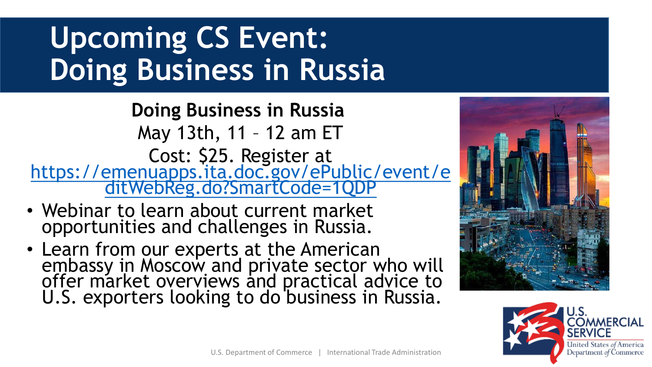# **Upcoming CS Event: Doing Business in Russia**

**Doing Business in Russia** May 13th, 11 – 12 am ET Cost: \$25. Register at [https://emenuapps.ita.doc.gov/ePublic/event/e](https://emenuapps.ita.doc.gov/ePublic/event/editWebReg.do?SmartCode=1QDP) ditWebReg.do?SmartCode=1QDP

- Webinar to learn about current market opportunities and challenges in Russia.
- Learn from our experts at the American embassy in Moscow and private sector who will offer market overviews and practical advice to U.S. exporters looking to do business in Russia.

![](_page_9_Picture_4.jpeg)

![](_page_9_Picture_5.jpeg)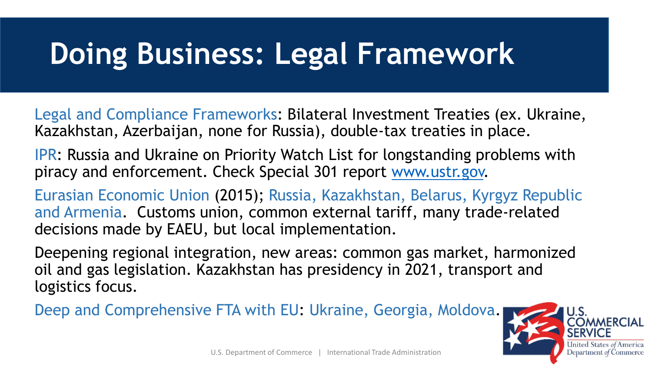### **Doing Business: Legal Framework**

Legal and Compliance Frameworks: Bilateral Investment Treaties (ex. Ukraine, Kazakhstan, Azerbaijan, none for Russia), double-tax treaties in place.

IPR: Russia and Ukraine on Priority Watch List for longstanding problems with piracy and enforcement. Check Special 301 report [www.ustr.gov.](http://www.ustr.gov/)

Eurasian Economic Union (2015); Russia, Kazakhstan, Belarus, Kyrgyz Republic and Armenia. Customs union, common external tariff, many trade-related decisions made by EAEU, but local implementation.

Deepening regional integration, new areas: common gas market, harmonized oil and gas legislation. Kazakhstan has presidency in 2021, transport and logistics focus.

Deep and Comprehensive FTA with EU: Ukraine, Georgia, Moldova.

![](_page_10_Picture_6.jpeg)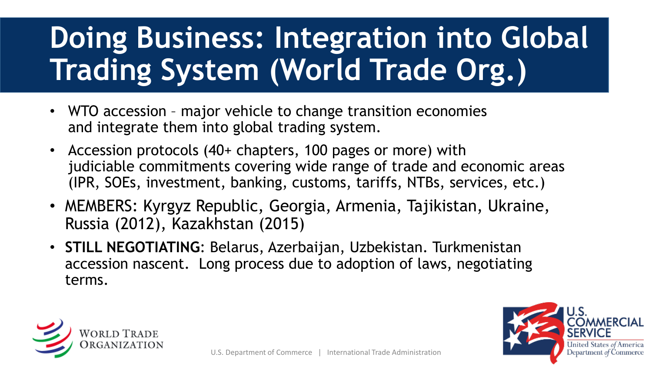# **Doing Business: Integration into Global Trading System (World Trade Org.)**

- WTO accession major vehicle to change transition economies and integrate them into global trading system.
- Accession protocols (40+ chapters, 100 pages or more) with judiciable commitments covering wide range of trade and economic areas (IPR, SOEs, investment, banking, customs, tariffs, NTBs, services, etc.)
- MEMBERS: Kyrgyz Republic, Georgia, Armenia, Tajikistan, Ukraine, Russia (2012), Kazakhstan (2015)
- **STILL NEGOTIATING**: Belarus, Azerbaijan, Uzbekistan. Turkmenistan accession nascent. Long process due to adoption of laws, negotiating terms.

![](_page_11_Picture_5.jpeg)

![](_page_11_Picture_6.jpeg)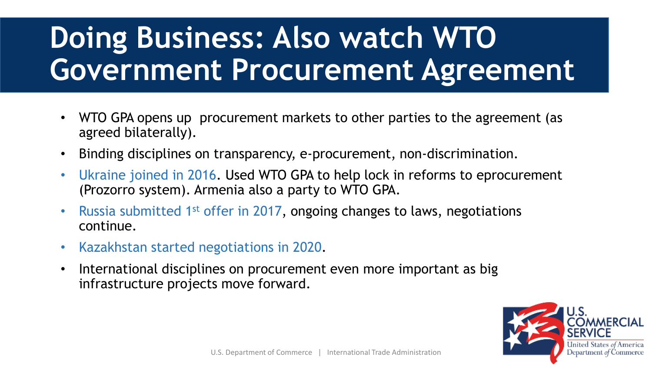# **Doing Business: Also watch WTO Government Procurement Agreement**

- WTO GPA opens up procurement markets to other parties to the agreement (as agreed bilaterally).
- Binding disciplines on transparency, e-procurement, non-discrimination.
- Ukraine joined in 2016. Used WTO GPA to help lock in reforms to eprocurement (Prozorro system). Armenia also a party to WTO GPA.
- Russia submitted 1st offer in 2017, ongoing changes to laws, negotiations continue.
- Kazakhstan started negotiations in 2020.
- International disciplines on procurement even more important as big infrastructure projects move forward.

![](_page_12_Picture_7.jpeg)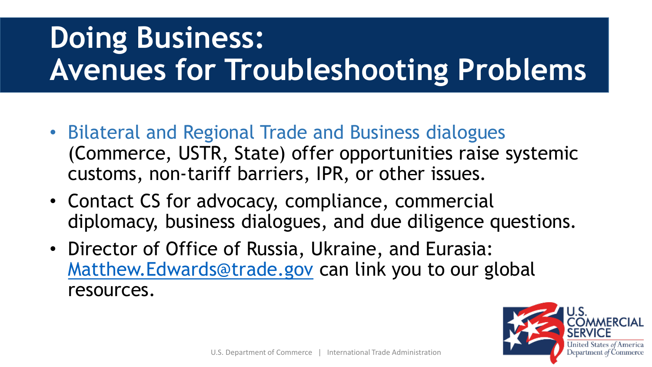# **Doing Business: Avenues for Troubleshooting Problems**

- Bilateral and Regional Trade and Business dialogues (Commerce, USTR, State) offer opportunities raise systemic customs, non-tariff barriers, IPR, or other issues.
- Contact CS for advocacy, compliance, commercial diplomacy, business dialogues, and due diligence questions.
- Director of Office of Russia, Ukraine, and Eurasia: [Matthew.Edwards@trade.gov](mailto:Matt.Edwards@trade.gov) can link you to our global resources.

![](_page_13_Picture_4.jpeg)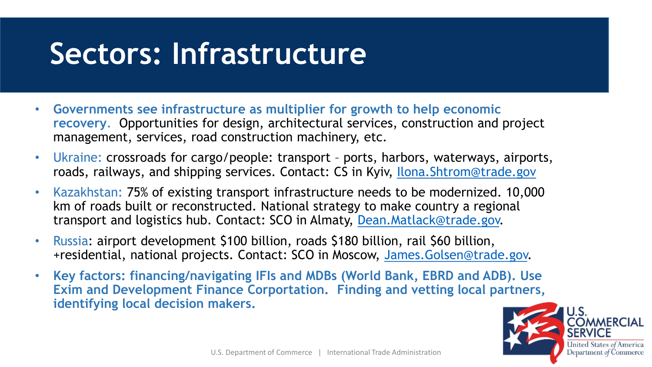### **Sectors: Infrastructure**

- **Governments see infrastructure as multiplier for growth to help economic recovery**. Opportunities for design, architectural services, construction and project management, services, road construction machinery, etc.
- Ukraine: crossroads for cargo/people: transport ports, harbors, waterways, airports, roads, railways, and shipping services. Contact: CS in Kyiv, [Ilona.Shtrom@trade.gov](mailto:Ilona.Shtrom@trade.gov)
- Kazakhstan: 75% of existing transport infrastructure needs to be modernized. 10,000 km of roads built or reconstructed. National strategy to make country a regional transport and logistics hub. Contact: SCO in Almaty, [Dean.Matlack@trade.gov.](mailto:Dean.Matlack@trade.gov)
- Russia: airport development \$100 billion, roads \$180 billion, rail \$60 billion, +residential, national projects. Contact: SCO in Moscow, [James.Golsen@trade.gov.](mailto:James.Golsen@trade.gov)
- **Key factors: financing/navigating IFIs and MDBs (World Bank, EBRD and ADB). Use Exim and Development Finance Corportation. Finding and vetting local partners, identifying local decision makers.**

![](_page_14_Picture_6.jpeg)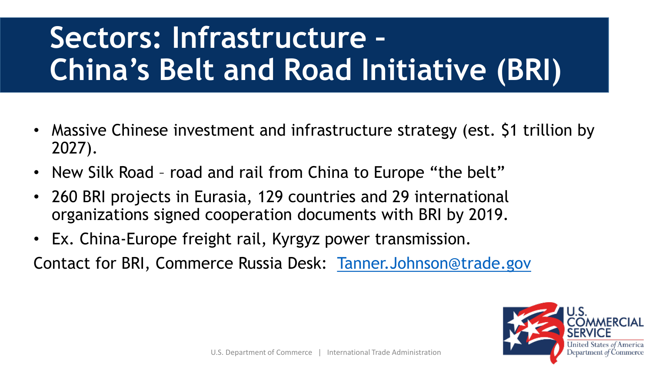# **Sectors: Infrastructure – China's Belt and Road Initiative (BRI)**

- Massive Chinese investment and infrastructure strategy (est. \$1 trillion by 2027).
- New Silk Road road and rail from China to Europe "the belt"
- 260 BRI projects in Eurasia, 129 countries and 29 international organizations signed cooperation documents with BRI by 2019.
- Ex. China-Europe freight rail, Kyrgyz power transmission.

Contact for BRI, Commerce Russia Desk: [Tanner.Johnson@trade.gov](mailto:Tanner.Johnson@trade.gov)

![](_page_15_Picture_6.jpeg)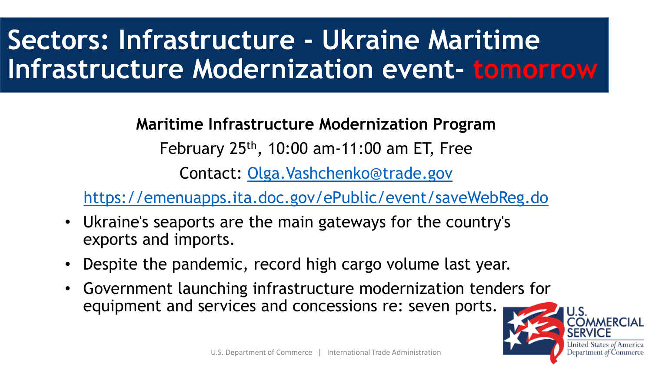### **Sectors: Infrastructure - Ukraine Maritime Infrastructure Modernization event- tomorrow**

**Maritime Infrastructure Modernization Program**

February  $25<sup>th</sup>$ , 10:00 am-11:00 am ET, Free

Contact: [Olga.Vashchenko@trade.gov](mailto:Olga.Vashchenko@trade.gov)

<https://emenuapps.ita.doc.gov/ePublic/event/saveWebReg.do>

- Ukraine's seaports are the main gateways for the country's exports and imports.
- Despite the pandemic, record high cargo volume last year.
- Government launching infrastructure modernization tenders for equipment and services and concessions re: seven ports.

![](_page_16_Picture_8.jpeg)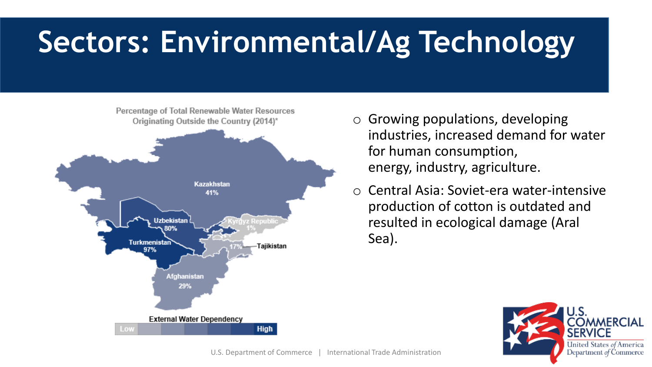## **Sectors: Environmental/Ag Technology**

![](_page_17_Figure_1.jpeg)

- $\circ$  Growing populations, developing industries, increased demand for water for human consumption, energy, industry, agriculture.
- o Central Asia: Soviet-era water-intensive production of cotton is outdated and resulted in ecological damage (Aral Sea).

![](_page_17_Picture_4.jpeg)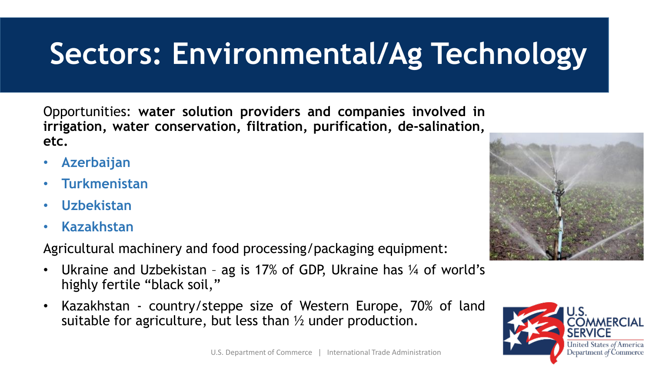# **Sectors: Environmental/Ag Technology**

Opportunities: **water solution providers and companies involved in irrigation, water conservation, filtration, purification, de-salination, etc.**

- **Azerbaijan**
- **Turkmenistan**
- **Uzbekistan**
- **Kazakhstan**

Agricultural machinery and food processing/packaging equipment:

- Ukraine and Uzbekistan ag is 17% of GDP, Ukraine has ¼ of world's highly fertile "black soil,"
- Kazakhstan country/steppe size of Western Europe, 70% of land suitable for agriculture, but less than ½ under production.

![](_page_18_Picture_9.jpeg)

![](_page_18_Picture_10.jpeg)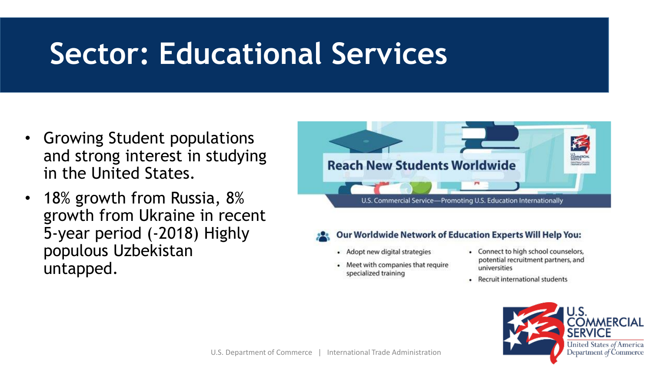### **Sector: Educational Services**

- Growing Student populations and strong interest in studying in the United States.
- 18% growth from Russia, 8% growth from Ukraine in recent 5-year period (-2018) Highly populous Uzbekistan untapped.

![](_page_19_Picture_3.jpeg)

- **Our Worldwide Network of Education Experts Will Help You:** 
	- Adopt new digital strategies
	- Meet with companies that require specialized training
- Connect to high school counselors, potential recruitment partners, and universities
- Recruit international students

![](_page_19_Picture_9.jpeg)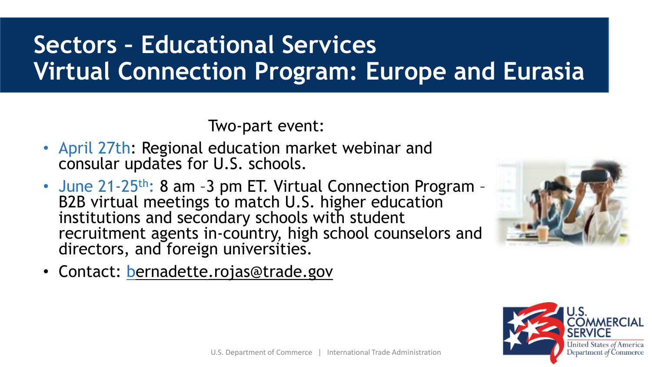### **Sectors – Educational Services Virtual Connection Program: Europe and Eurasia**

Two-part event:

- April 27th: Regional education market webinar and consular updates for U.S. schools.
- June 21-25<sup>th</sup>: 8 am -3 pm ET. Virtual Connection Program -B2B virtual meetings to match U.S. higher education institutions and secondary schools with student recruitment agents in-country, high school counselors and directors, and foreign universities.
- Contact: [bernadette.rojas@trade.gov](mailto:bernadette.rojas@trade.gov)

![](_page_20_Picture_5.jpeg)

![](_page_20_Picture_6.jpeg)